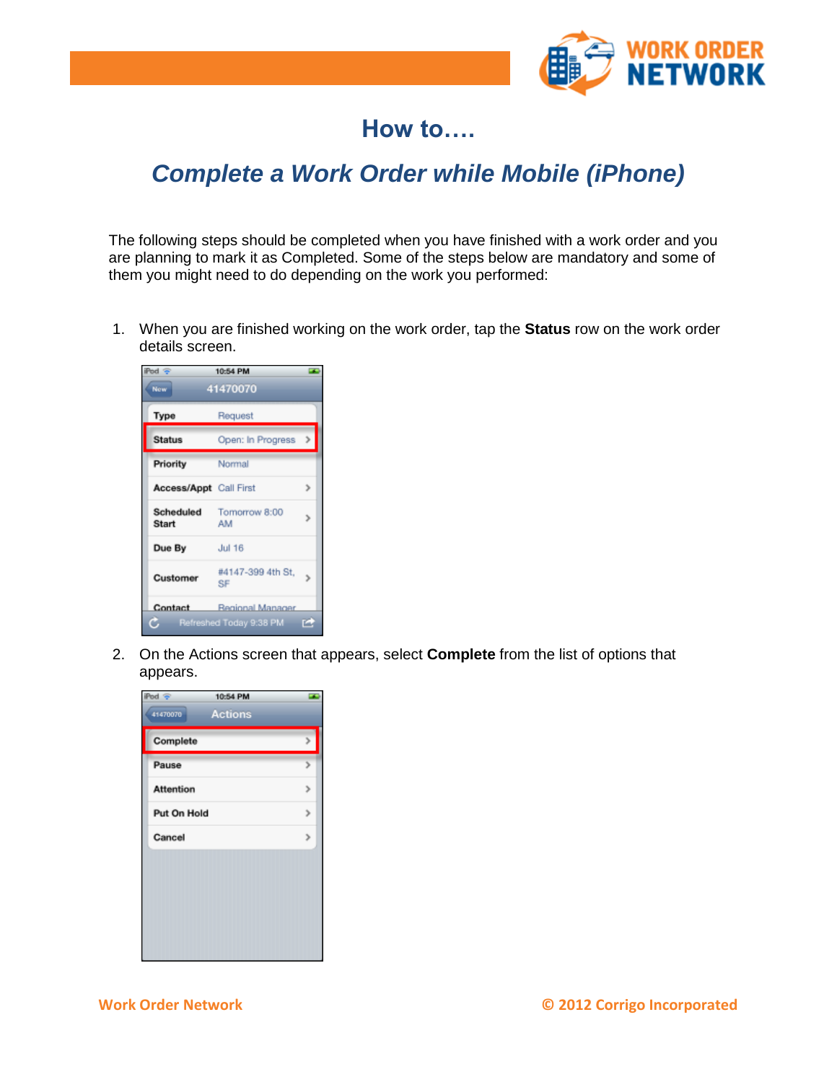

## **How to….**

## *Complete a Work Order while Mobile (iPhone)*

The following steps should be completed when you have finished with a work order and you are planning to mark it as Completed. Some of the steps below are mandatory and some of them you might need to do depending on the work you performed:

1. When you are finished working on the work order, tap the **Status** row on the work order details screen.

| Pod $\circledcirc$            | 10:54 PM                        |               |
|-------------------------------|---------------------------------|---------------|
| New <sup>-</sup>              | 41470070                        |               |
| <b>Type</b>                   | Request                         |               |
| <b>Status</b>                 | Open: In Progress               | $\rightarrow$ |
| Priority                      | Normal                          |               |
| <b>Access/Appt</b> Call First |                                 |               |
| Scheduled<br>Start            | Tomorrow 8:00<br>AM             |               |
| Due By                        | <b>Jul 16</b>                   |               |
| <b>Customer</b>               | #4147-399 4th St.<br>SF         |               |
|                               | <b>Contact</b> Regional Manager |               |
| С                             | Refreshed Today 9:38 PM [4]     |               |

2. On the Actions screen that appears, select **Complete** from the list of options that appears.

| iPod <sup>o</sup> | 10:54 PM       |  |
|-------------------|----------------|--|
| 41470070          | <b>Actions</b> |  |
| Complete          |                |  |
| Pause             |                |  |
| <b>Attention</b>  |                |  |
| Put On Hold       |                |  |
| Cancel            |                |  |
|                   |                |  |
|                   |                |  |
|                   |                |  |
|                   |                |  |
|                   |                |  |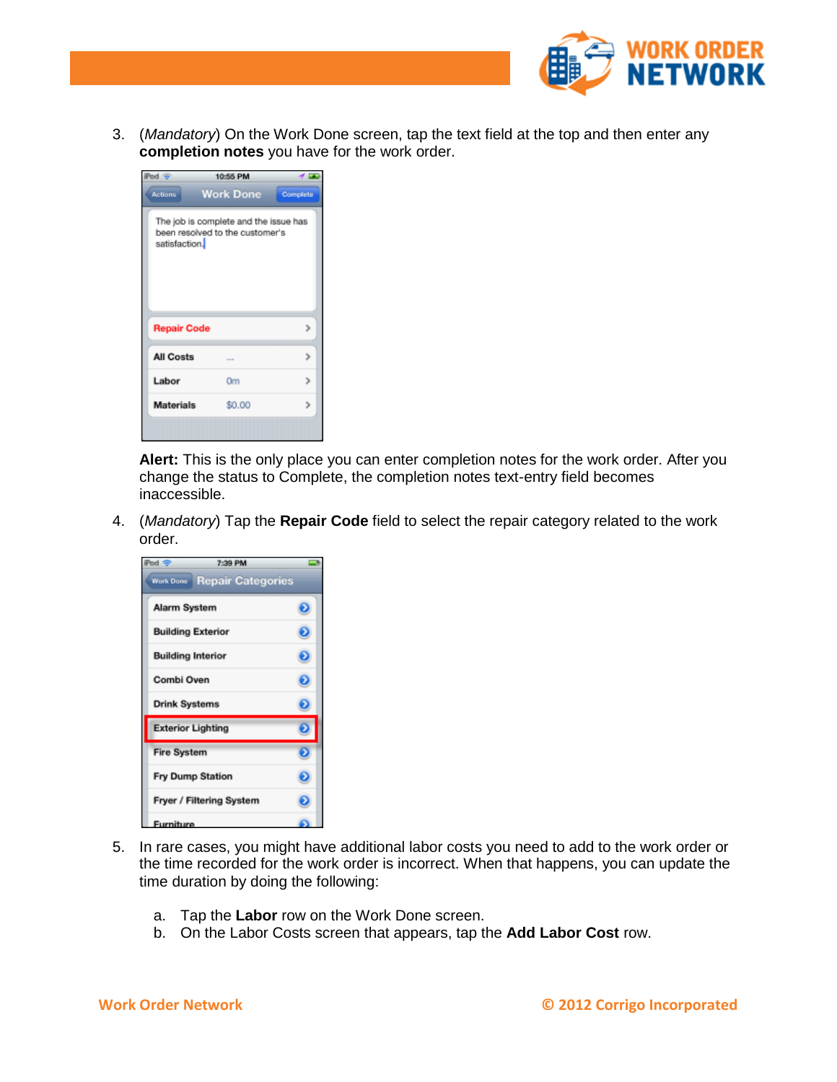

3. (*Mandatory*) On the Work Done screen, tap the text field at the top and then enter any **completion notes** you have for the work order.

| $Pod \cong$                                                                               | 10:55 PM         |          |
|-------------------------------------------------------------------------------------------|------------------|----------|
| <b>Actions</b>                                                                            | <b>Work Done</b> | Complete |
| The job is complete and the issue has<br>been resolved to the customer's<br>satisfaction. |                  |          |
| <b>Repair Code</b>                                                                        |                  |          |
| <b>All Costs</b>                                                                          |                  |          |
| Labor                                                                                     | Om               |          |
| <b>Materials</b>                                                                          | \$0.00           |          |
|                                                                                           |                  |          |

**Alert:** This is the only place you can enter completion notes for the work order. After you change the status to Complete, the completion notes text-entry field becomes inaccessible.

4. (*Mandatory*) Tap the **Repair Code** field to select the repair category related to the work order.

| Pod <sup><math>\infty</math></sup> | 7:39 PM                  |  |
|------------------------------------|--------------------------|--|
| <b>Work Done</b>                   | <b>Repair Categories</b> |  |
| Alarm System                       |                          |  |
| <b>Building Exterior</b>           |                          |  |
| <b>Building Interior</b>           |                          |  |
| Combi Oven                         |                          |  |
| <b>Drink Systems</b>               |                          |  |
| <b>Exterior Lighting</b>           |                          |  |
| <b>Fire System</b>                 |                          |  |
| <b>Fry Dump Station</b>            |                          |  |
|                                    | Fryer / Filtering System |  |
| Furniture                          |                          |  |

- 5. In rare cases, you might have additional labor costs you need to add to the work order or the time recorded for the work order is incorrect. When that happens, you can update the time duration by doing the following:
	- a. Tap the **Labor** row on the Work Done screen.
	- b. On the Labor Costs screen that appears, tap the **Add Labor Cost** row.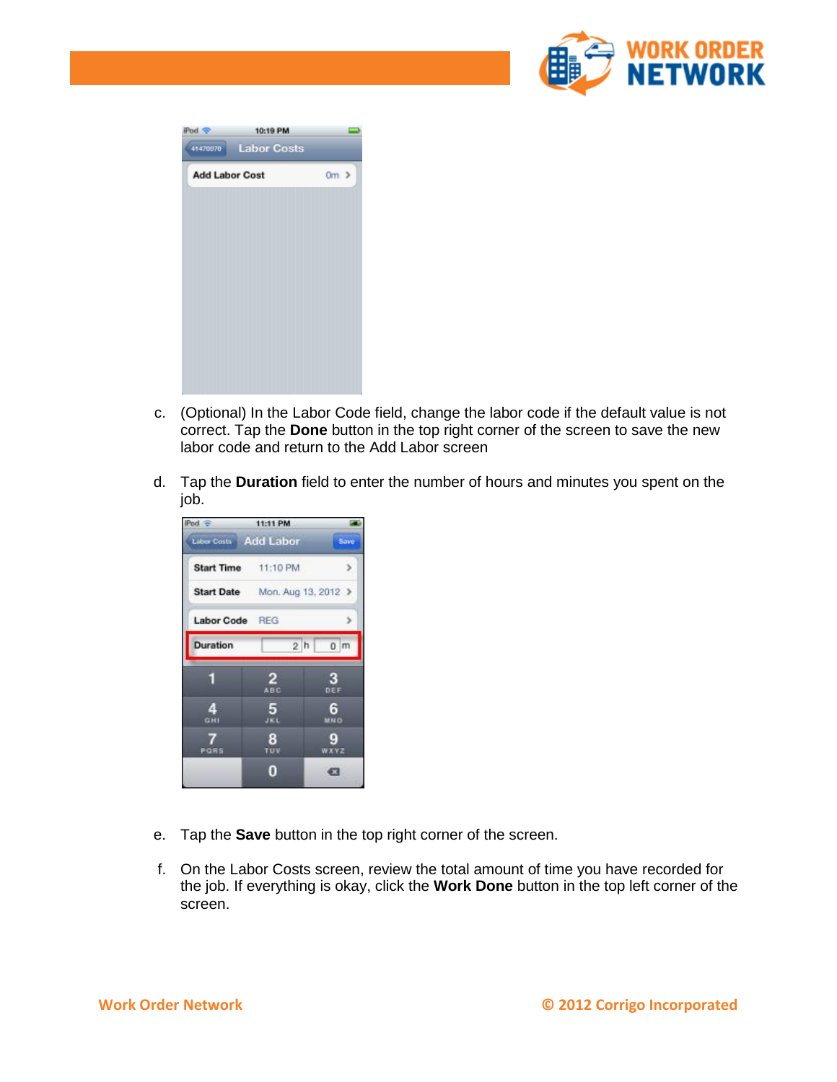

| iPod -<br>41470070    | 10:19 PM<br><b>Labor Costs</b> |           |
|-----------------------|--------------------------------|-----------|
| <b>Add Labor Cost</b> |                                | $0m \geq$ |
|                       |                                |           |
|                       |                                |           |
|                       |                                |           |
|                       |                                |           |
|                       |                                |           |

- c. (Optional) In the Labor Code field, change the labor code if the default value is not correct. Tap the **Done** button in the top right corner of the screen to save the new labor code and return to the Add Labor screen
- d. Tap the **Duration** field to enter the number of hours and minutes you spent on the job.



- e. Tap the **Save** button in the top right corner of the screen.
- f. On the Labor Costs screen, review the total amount of time you have recorded for the job. If everything is okay, click the **Work Done** button in the top left corner of the screen.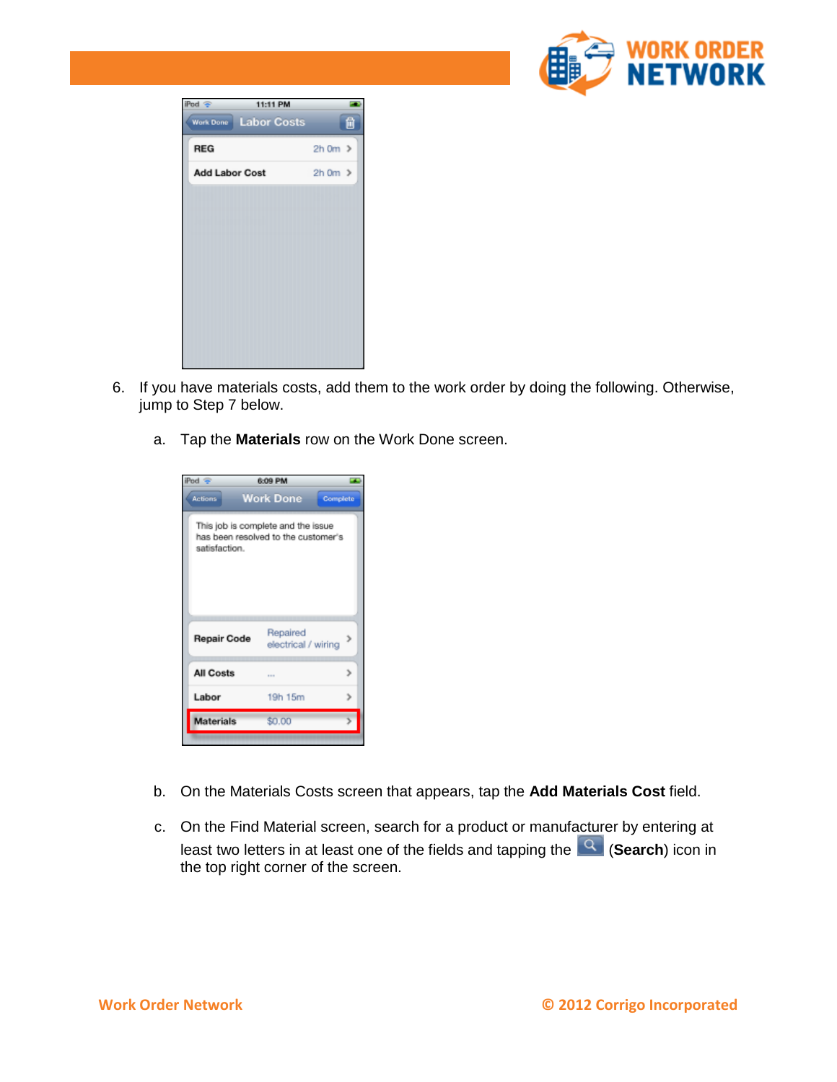

| iPod $\circledcirc$   | 11:11 PM           |                   |  |
|-----------------------|--------------------|-------------------|--|
| <b>Work Done</b>      | <b>Labor Costs</b> | 自                 |  |
| <b>REG</b>            |                    | $2h$ Om $\geq$    |  |
| <b>Add Labor Cost</b> |                    | $2h$ 0 $m$ $\geq$ |  |
|                       |                    |                   |  |
|                       |                    |                   |  |
|                       |                    |                   |  |
|                       |                    |                   |  |
|                       |                    |                   |  |
|                       |                    |                   |  |
|                       |                    |                   |  |
|                       |                    |                   |  |

- 6. If you have materials costs, add them to the work order by doing the following. Otherwise, jump to Step 7 below.
	- a. Tap the **Materials** row on the Work Done screen.

| Pod $\infty$                                                                               | 6:09 PM                         |  |
|--------------------------------------------------------------------------------------------|---------------------------------|--|
| <b>Actions</b>                                                                             | <b>Work Done</b><br>Complete    |  |
| This job is complete and the issue<br>has been resolved to the customer's<br>satisfaction. |                                 |  |
| <b>Repair Code</b>                                                                         | Repaired<br>electrical / wiring |  |
| <b>All Costs</b>                                                                           | $1 - 1$                         |  |
| Labor                                                                                      | 19h 15m                         |  |
| <b>Materials</b>                                                                           | \$0.00                          |  |
|                                                                                            |                                 |  |

- b. On the Materials Costs screen that appears, tap the **Add Materials Cost** field.
- c. On the Find Material screen, search for a product or manufacturer by entering at least two letters in at least one of the fields and tapping the (**Search**) icon in the top right corner of the screen.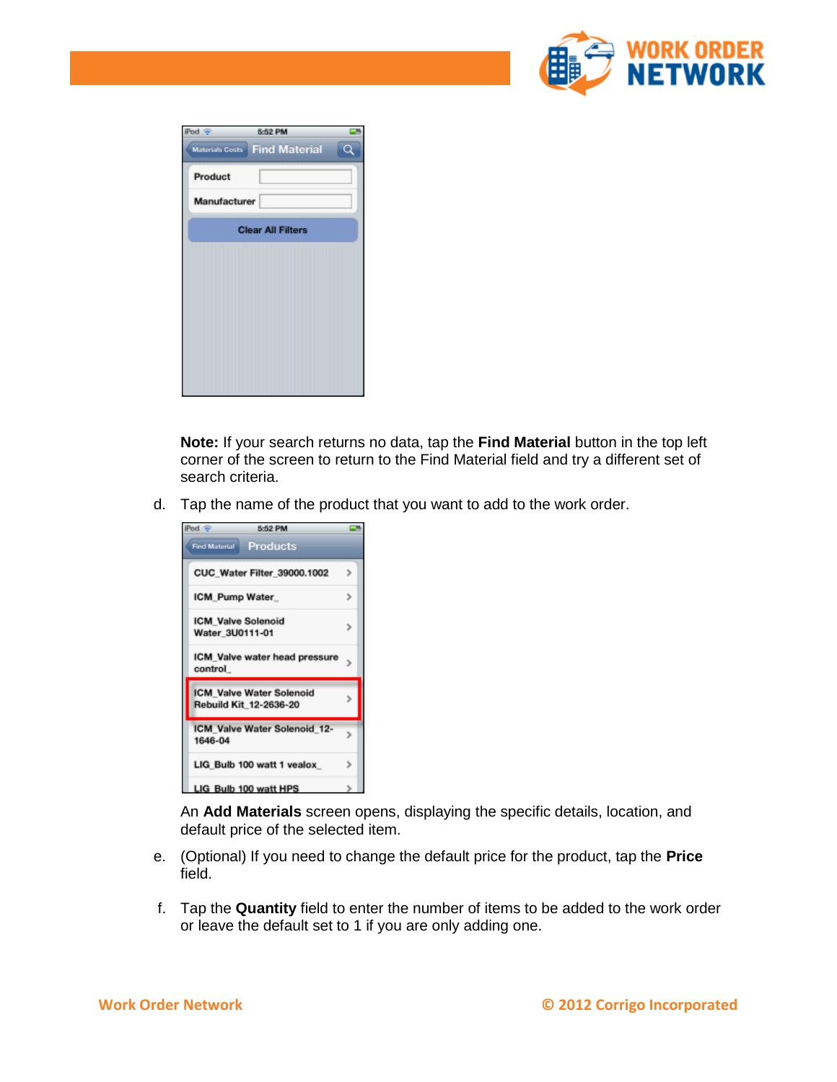

| iPod<br>×    | 5:52 PM                       |  |
|--------------|-------------------------------|--|
|              | Materials Costs Find Material |  |
| Product      |                               |  |
| Manufacturer |                               |  |
|              | <b>Clear All Filters</b>      |  |
|              |                               |  |
|              |                               |  |
|              |                               |  |
|              |                               |  |
|              |                               |  |
|              |                               |  |

**Note:** If your search returns no data, tap the **Find Material** button in the top left corner of the screen to return to the Find Material field and try a different set of search criteria.

d. Tap the name of the product that you want to add to the work order.

| iPod $\circledcirc$<br>5:52 PM                            |   |
|-----------------------------------------------------------|---|
| <b>Products</b><br><b>Find Material</b>                   |   |
| <b>CUC Water Filter 39000.1002</b>                        | ъ |
| ICM Pump Water                                            |   |
| <b>ICM Valve Solenoid</b><br>Water 3U0111-01              |   |
| ICM Valve water head pressure<br>control                  |   |
| <b>ICM Valve Water Solenoid</b><br>Rebuild Kit 12-2636-20 |   |
| ICM Valve Water Solenoid 12-<br>1646-04                   |   |
| LIG Bulb 100 watt 1 vealox                                |   |
| LIG Bulb 100 watt HPS                                     |   |

An **Add Materials** screen opens, displaying the specific details, location, and default price of the selected item.

- e. (Optional) If you need to change the default price for the product, tap the **Price** field.
- f. Tap the **Quantity** field to enter the number of items to be added to the work order or leave the default set to 1 if you are only adding one.